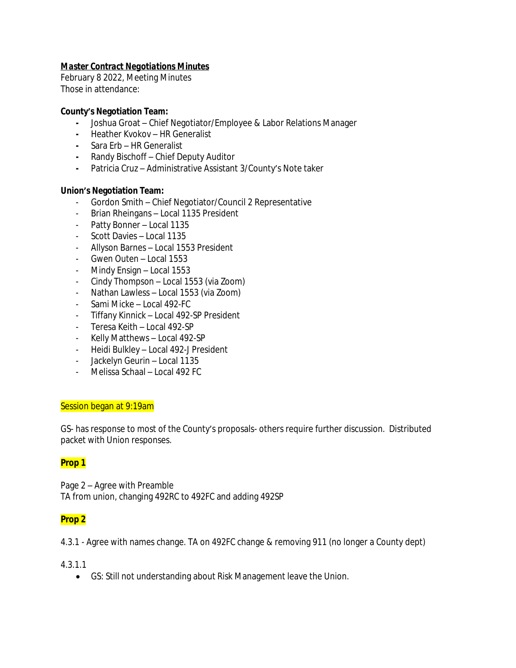## *Master Contract Negotiations Minutes*

February 8 2022, Meeting Minutes Those in attendance:

### **County's Negotiation Team:**

- **-** Joshua Groat Chief Negotiator/Employee & Labor Relations Manager
- **-** Heather Kvokov HR Generalist
- **-** Sara Erb HR Generalist
- **-** Randy Bischoff Chief Deputy Auditor
- **-** Patricia Cruz Administrative Assistant 3/County's Note taker

### **Union's Negotiation Team:**

- Gordon Smith Chief Negotiator/Council 2 Representative
- Brian Rheingans Local 1135 President
- Patty Bonner Local 1135
- Scott Davies Local 1135
- Allyson Barnes Local 1553 President
- Gwen Outen Local 1553
- Mindy Ensign Local 1553
- Cindy Thompson Local 1553 (via Zoom)
- Nathan Lawless Local 1553 (via Zoom)
- Sami Micke Local 492-FC
- Tiffany Kinnick Local 492-SP President
- Teresa Keith Local 492-SP
- Kelly Matthews Local 492-SP
- Heidi Bulkley Local 492-J President
- Jackelyn Geurin Local 1135
- Melissa Schaal Local 492 FC

### Session began at 9:19am

GS- has response to most of the County's proposals- others require further discussion. Distributed packet with Union responses.

### **Prop 1**

Page 2 – Agree with Preamble TA from union, changing 492RC to 492FC and adding 492SP

### **Prop 2**

4.3.1 - Agree with names change. TA on 492FC change & removing 911 (no longer a County dept)

4.3.1.1

GS: Still not understanding about Risk Management leave the Union.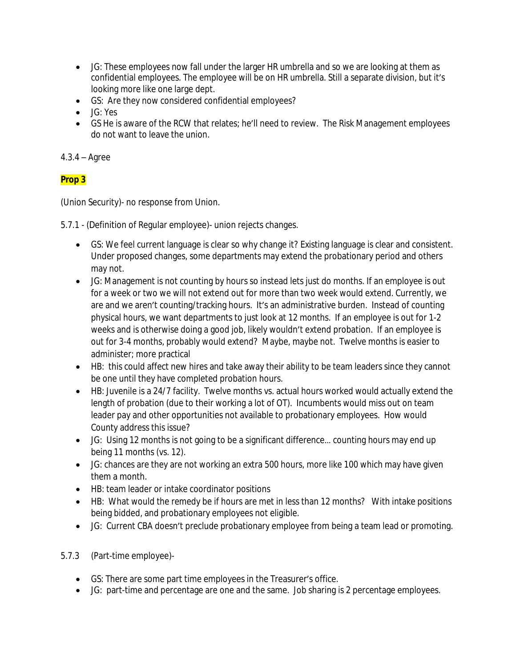- JG: These employees now fall under the larger HR umbrella and so we are looking at them as confidential employees. The employee will be on HR umbrella. Still a separate division, but it's looking more like one large dept.
- GS: Are they now considered confidential employees?
- JG: Yes
- GS He is aware of the RCW that relates; he'll need to review. The Risk Management employees do not want to leave the union.

## 4.3.4 – Agree

# **Prop 3**

(Union Security)- no response from Union.

5.7.1 - (Definition of Regular employee)- union rejects changes.

- GS: We feel current language is clear so why change it? Existing language is clear and consistent. Under proposed changes, some departments may extend the probationary period and others may not.
- JG: Management is not counting by hours so instead lets just do months. If an employee is out for a week or two we will not extend out for more than two week would extend. Currently, we are and we aren't counting/tracking hours. It's an administrative burden. Instead of counting physical hours, we want departments to just look at 12 months. If an employee is out for 1-2 weeks and is otherwise doing a good job, likely wouldn't extend probation. If an employee is out for 3-4 months, probably would extend? Maybe, maybe not. Twelve months is easier to administer; more practical
- HB: this could affect new hires and take away their ability to be team leaders since they cannot be one until they have completed probation hours.
- HB: Juvenile is a 24/7 facility. Twelve months vs. actual hours worked would actually extend the length of probation (due to their working a lot of OT). Incumbents would miss out on team leader pay and other opportunities not available to probationary employees. How would County address this issue?
- JG: Using 12 months is not going to be a significant difference… counting hours may end up being 11 months (vs. 12).
- JG: chances are they are not working an extra 500 hours, more like 100 which may have given them a month.
- HB: team leader or intake coordinator positions
- HB: What would the remedy be if hours are met in less than 12 months? With intake positions being bidded, and probationary employees not eligible.
- JG: Current CBA doesn't preclude probationary employee from being a team lead or promoting.
- 5.7.3 (Part-time employee)-
	- GS: There are some part time employees in the Treasurer's office.
	- JG: part-time and percentage are one and the same. Job sharing is 2 percentage employees.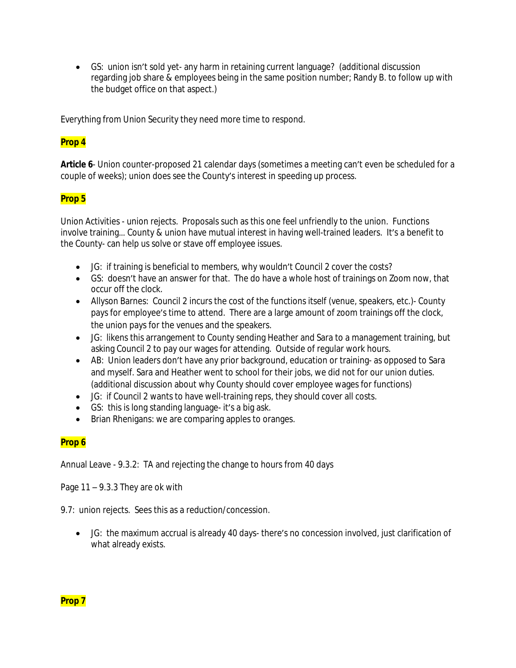GS: union isn't sold yet- any harm in retaining current language? (additional discussion regarding job share & employees being in the same position number; Randy B. to follow up with the budget office on that aspect.)

Everything from Union Security they need more time to respond.

## **Prop 4**

**Article 6**- Union counter-proposed 21 calendar days (sometimes a meeting can't even be scheduled for a couple of weeks); union does see the County's interest in speeding up process.

### **Prop 5**

Union Activities - union rejects. Proposals such as this one feel unfriendly to the union. Functions involve training… County & union have mutual interest in having well-trained leaders. It's a benefit to the County- can help us solve or stave off employee issues.

- JG: if training is beneficial to members, why wouldn't Council 2 cover the costs?
- GS: doesn't have an answer for that. The do have a whole host of trainings on Zoom now, that occur off the clock.
- Allyson Barnes: Council 2 incurs the cost of the functions itself (venue, speakers, etc.)- County pays for employee's time to attend. There are a large amount of zoom trainings off the clock, the union pays for the venues and the speakers.
- JG: likens this arrangement to County sending Heather and Sara to a management training, but asking Council 2 to pay our wages for attending. Outside of regular work hours.
- AB: Union leaders don't have any prior background, education or training- as opposed to Sara and myself. Sara and Heather went to school for their jobs, we did not for our union duties. (additional discussion about why County should cover employee wages for functions)
- JG: if Council 2 wants to have well-training reps, they should cover all costs.
- GS: this is long standing language- it's a big ask.
- Brian Rhenigans: we are comparing apples to oranges.

### **Prop 6**

Annual Leave - 9.3.2: TA and rejecting the change to hours from 40 days

Page  $11 - 9.3.3$  They are ok with

9.7: union rejects. Sees this as a reduction/concession.

 JG: the maximum accrual is already 40 days- there's no concession involved, just clarification of what already exists.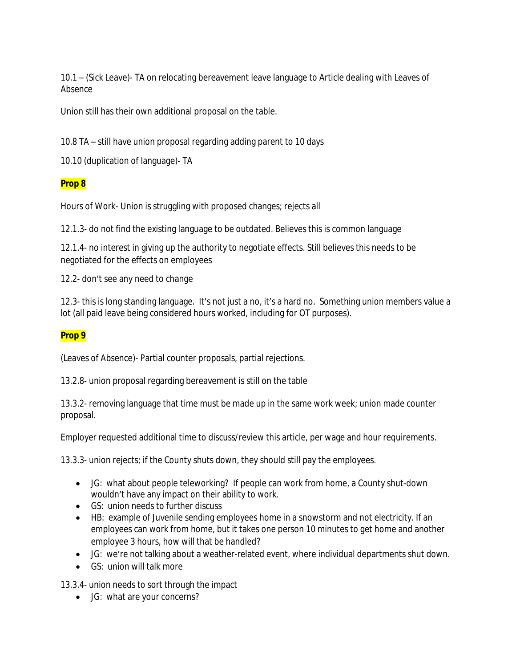10.1 – (Sick Leave)- TA on relocating bereavement leave language to Article dealing with Leaves of Absence

Union still has their own additional proposal on the table.

10.8 TA – still have union proposal regarding adding parent to 10 days

10.10 (duplication of language)- TA

### **Prop 8**

Hours of Work- Union is struggling with proposed changes; rejects all

12.1.3- do not find the existing language to be outdated. Believes this is common language

12.1.4- no interest in giving up the authority to negotiate effects. Still believes this needs to be negotiated for the effects on employees

12.2- don't see any need to change

12.3- this is long standing language. It's not just a no, it's a hard no. Something union members value a lot (all paid leave being considered hours worked, including for OT purposes).

### **Prop 9**

(Leaves of Absence)- Partial counter proposals, partial rejections.

13.2.8- union proposal regarding bereavement is still on the table

13.3.2- removing language that time must be made up in the same work week; union made counter proposal.

Employer requested additional time to discuss/review this article, per wage and hour requirements.

13.3.3- union rejects; if the County shuts down, they should still pay the employees.

- JG: what about people teleworking? If people can work from home, a County shut-down wouldn't have any impact on their ability to work.
- GS: union needs to further discuss
- HB: example of Juvenile sending employees home in a snowstorm and not electricity. If an employees can work from home, but it takes one person 10 minutes to get home and another employee 3 hours, how will that be handled?
- JG: we're not talking about a weather-related event, where individual departments shut down.
- GS: union will talk more

13.3.4- union needs to sort through the impact

JG: what are your concerns?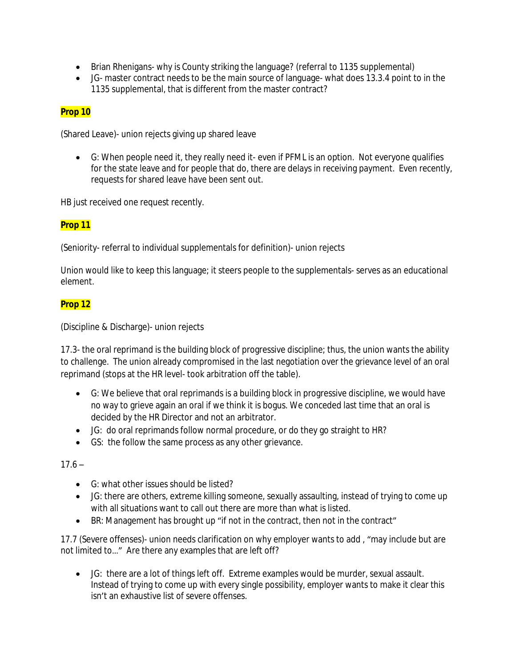- Brian Rhenigans- why is County striking the language? (referral to 1135 supplemental)
- JG- master contract needs to be the main source of language- what does 13.3.4 point to in the 1135 supplemental, that is different from the master contract?

## **Prop 10**

(Shared Leave)- union rejects giving up shared leave

 G: When people need it, they really need it- even if PFML is an option. Not everyone qualifies for the state leave and for people that do, there are delays in receiving payment. Even recently, requests for shared leave have been sent out.

HB just received one request recently.

## **Prop 11**

(Seniority- referral to individual supplementals for definition)- union rejects

Union would like to keep this language; it steers people to the supplementals- serves as an educational element.

## **Prop 12**

(Discipline & Discharge)- union rejects

17.3- the oral reprimand is the building block of progressive discipline; thus, the union wants the ability to challenge. The union already compromised in the last negotiation over the grievance level of an oral reprimand (stops at the HR level- took arbitration off the table).

- G: We believe that oral reprimands is a building block in progressive discipline, we would have no way to grieve again an oral if we think it is bogus. We conceded last time that an oral is decided by the HR Director and not an arbitrator.
- JG: do oral reprimands follow normal procedure, or do they go straight to HR?
- GS: the follow the same process as any other grievance.

### $17.6 -$

- G: what other issues should be listed?
- JG: there are others, extreme killing someone, sexually assaulting, instead of trying to come up with all situations want to call out there are more than what is listed.
- BR: Management has brought up "if not in the contract, then not in the contract"

17.7 (Severe offenses)- union needs clarification on why employer wants to add , "may include but are not limited to…" Are there any examples that are left off?

 JG: there are a lot of things left off. Extreme examples would be murder, sexual assault. Instead of trying to come up with every single possibility, employer wants to make it clear this isn't an exhaustive list of severe offenses.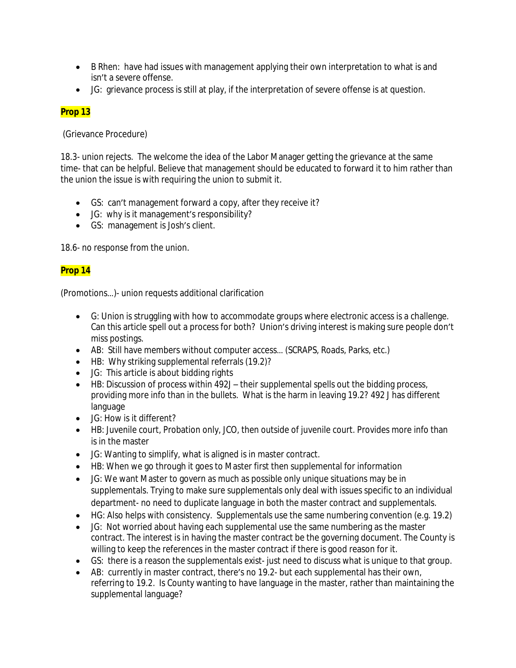- B Rhen: have had issues with management applying their own interpretation to what is and isn't a severe offense.
- JG: grievance process is still at play, if the interpretation of severe offense is at question.

# **Prop 13**

(Grievance Procedure)

18.3- union rejects. The welcome the idea of the Labor Manager getting the grievance at the same time- that can be helpful. Believe that management should be educated to forward it to him rather than the union the issue is with requiring the union to submit it.

- GS: can't management forward a copy, after they receive it?
- JG: why is it management's responsibility?
- GS: management is Josh's client.

18.6- no response from the union.

# **Prop 14**

(Promotions…)- union requests additional clarification

- G: Union is struggling with how to accommodate groups where electronic access is a challenge. Can this article spell out a process for both? Union's driving interest is making sure people don't miss postings.
- AB: Still have members without computer access… (SCRAPS, Roads, Parks, etc.)
- HB: Why striking supplemental referrals (19.2)?
- JG: This article is about bidding rights
- HB: Discussion of process within 492J their supplemental spells out the bidding process, providing more info than in the bullets. What is the harm in leaving 19.2? 492 J has different language
- JG: How is it different?
- HB: Juvenile court, Probation only, JCO, then outside of juvenile court. Provides more info than is in the master
- JG: Wanting to simplify, what is aligned is in master contract.
- HB: When we go through it goes to Master first then supplemental for information
- JG: We want Master to govern as much as possible only unique situations may be in supplementals. Trying to make sure supplementals only deal with issues specific to an individual department- no need to duplicate language in both the master contract and supplementals.
- HG: Also helps with consistency. Supplementals use the same numbering convention (e.g. 19.2)
- JG: Not worried about having each supplemental use the same numbering as the master contract. The interest is in having the master contract be the governing document. The County is willing to keep the references in the master contract if there is good reason for it.
- GS: there is a reason the supplementals exist- just need to discuss what is unique to that group.
- AB: currently in master contract, there's no 19.2- but each supplemental has their own, referring to 19.2. Is County wanting to have language in the master, rather than maintaining the supplemental language?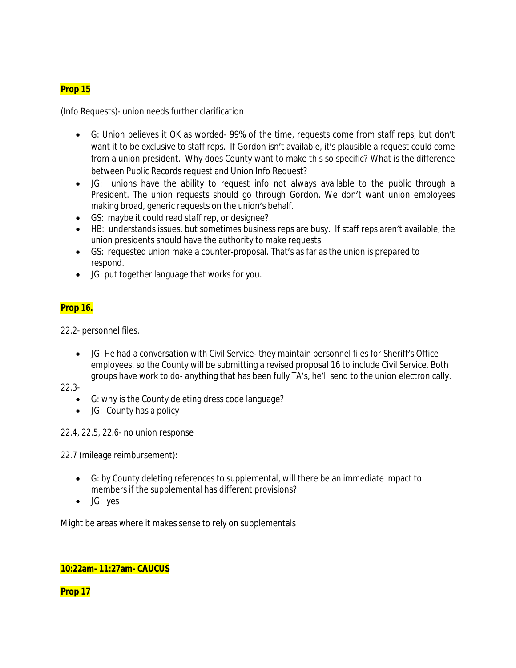## **Prop 15**

(Info Requests)- union needs further clarification

- G: Union believes it OK as worded- 99% of the time, requests come from staff reps, but don't want it to be exclusive to staff reps. If Gordon isn't available, it's plausible a request could come from a union president. Why does County want to make this so specific? What is the difference between Public Records request and Union Info Request?
- JG: unions have the ability to request info not always available to the public through a President. The union requests should go through Gordon. We don't want union employees making broad, generic requests on the union's behalf.
- GS: maybe it could read staff rep, or designee?
- HB: understands issues, but sometimes business reps are busy. If staff reps aren't available, the union presidents should have the authority to make requests.
- GS: requested union make a counter-proposal. That's as far as the union is prepared to respond.
- JG: put together language that works for you.

## **Prop 16.**

22.2- personnel files.

 JG: He had a conversation with Civil Service- they maintain personnel files for Sheriff's Office employees, so the County will be submitting a revised proposal 16 to include Civil Service. Both groups have work to do- anything that has been fully TA's, he'll send to the union electronically.

22.3-

- G: why is the County deleting dress code language?
- JG: County has a policy

22.4, 22.5, 22.6- no union response

22.7 (mileage reimbursement):

- G: by County deleting references to supplemental, will there be an immediate impact to members if the supplemental has different provisions?
- JG: yes

Might be areas where it makes sense to rely on supplementals

## **10:22am- 11:27am- CAUCUS**

**Prop 17**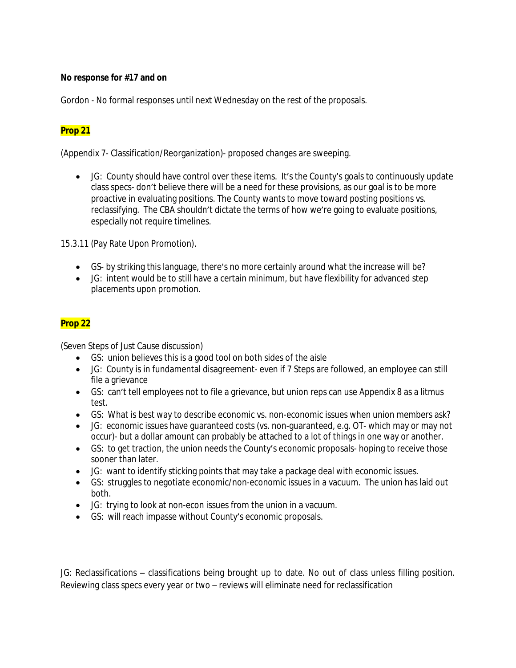### **No response for #17 and on**

Gordon - No formal responses until next Wednesday on the rest of the proposals.

## **Prop 21**

(Appendix 7- Classification/Reorganization)- proposed changes are sweeping.

 JG: County should have control over these items. It's the County's goals to continuously update class specs- don't believe there will be a need for these provisions, as our goal is to be more proactive in evaluating positions. The County wants to move toward posting positions vs. reclassifying. The CBA shouldn't dictate the terms of how we're going to evaluate positions, especially not require timelines.

15.3.11 (Pay Rate Upon Promotion).

- GS- by striking this language, there's no more certainly around what the increase will be?
- JG: intent would be to still have a certain minimum, but have flexibility for advanced step placements upon promotion.

## **Prop 22**

(Seven Steps of Just Cause discussion)

- GS: union believes this is a good tool on both sides of the aisle
- JG: County is in fundamental disagreement- even if 7 Steps are followed, an employee can still file a grievance
- GS: can't tell employees not to file a grievance, but union reps can use Appendix 8 as a litmus test.
- GS: What is best way to describe economic vs. non-economic issues when union members ask?
- JG: economic issues have guaranteed costs (vs. non-guaranteed, e.g. OT- which may or may not occur)- but a dollar amount can probably be attached to a lot of things in one way or another.
- GS: to get traction, the union needs the County's economic proposals- hoping to receive those sooner than later.
- JG: want to identify sticking points that may take a package deal with economic issues.
- GS: struggles to negotiate economic/non-economic issues in a vacuum. The union has laid out both.
- JG: trying to look at non-econ issues from the union in a vacuum.
- GS: will reach impasse without County's economic proposals.

JG: Reclassifications – classifications being brought up to date. No out of class unless filling position. Reviewing class specs every year or two – reviews will eliminate need for reclassification